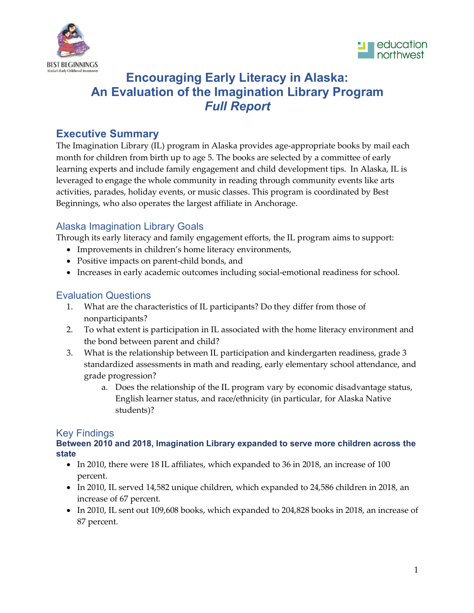



# **Encouraging Early Literacy in Alaska: An Evaluation of the Imagination Library Program** *Full Report*

## **Executive Summary**

The Imagination Library (IL) program in Alaska provides age-appropriate books by mail each month for children from birth up to age 5. The books are selected by a committee of early learning experts and include family engagement and child development tips. In Alaska, IL is leveraged to engage the whole community in reading through community events like arts activities, parades, holiday events, or music classes. This program is coordinated by Best Beginnings, who also operates the largest affiliate in Anchorage.

## Alaska Imagination Library Goals

Through its early literacy and family engagement efforts, the IL program aims to support:

- Improvements in children's home literacy environments,
- Positive impacts on parent-child bonds, and
- Increases in early academic outcomes including social-emotional readiness for school.

## Evaluation Questions

- 1. What are the characteristics of IL participants? Do they differ from those of nonparticipants?
- 2. To what extent is participation in IL associated with the home literacy environment and the bond between parent and child?
- 3. What is the relationship between IL participation and kindergarten readiness, grade 3 standardized assessments in math and reading, early elementary school attendance, and grade progression?
	- a. Does the relationship of the IL program vary by economic disadvantage status, English learner status, and race/ethnicity (in particular, for Alaska Native students)?

## Key Findings

#### **Between 2010 and 2018, Imagination Library expanded to serve more children across the state**

- In 2010, there were 18 IL affiliates, which expanded to 36 in 2018, an increase of 100 percent.
- In 2010, IL served 14,582 unique children, which expanded to 24,586 children in 2018, an increase of 67 percent.
- In 2010, IL sent out 109,608 books, which expanded to 204,828 books in 2018, an increase of 87 percent.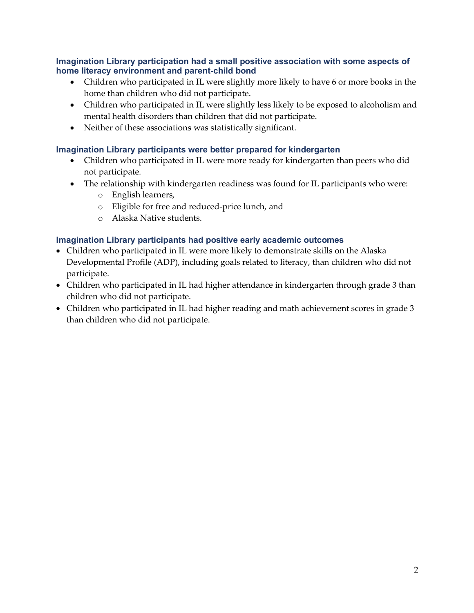**Imagination Library participation had a small positive association with some aspects of home literacy environment and parent-child bond**

- Children who participated in IL were slightly more likely to have 6 or more books in the home than children who did not participate.
- Children who participated in IL were slightly less likely to be exposed to alcoholism and mental health disorders than children that did not participate.
- Neither of these associations was statistically significant.

#### **Imagination Library participants were better prepared for kindergarten**

- Children who participated in IL were more ready for kindergarten than peers who did not participate.
- The relationship with kindergarten readiness was found for IL participants who were:
	- o English learners,
	- o Eligible for free and reduced-price lunch, and
	- o Alaska Native students.

#### **Imagination Library participants had positive early academic outcomes**

- Children who participated in IL were more likely to demonstrate skills on the Alaska Developmental Profile (ADP), including goals related to literacy, than children who did not participate.
- Children who participated in IL had higher attendance in kindergarten through grade 3 than children who did not participate.
- Children who participated in IL had higher reading and math achievement scores in grade 3 than children who did not participate.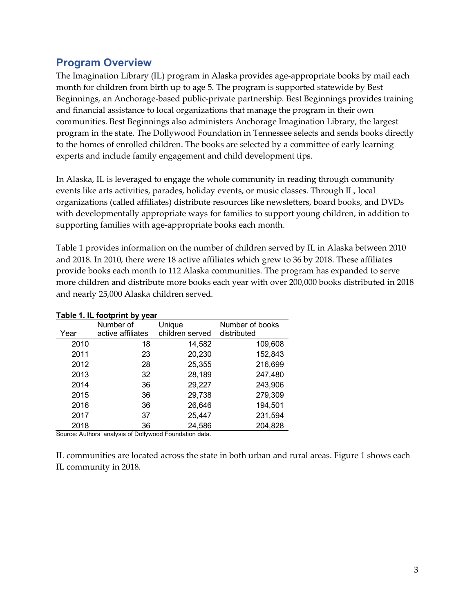## **Program Overview**

The Imagination Library (IL) program in Alaska provides age-appropriate books by mail each month for children from birth up to age 5. The program is supported statewide by Best Beginnings, an Anchorage-based public-private partnership. Best Beginnings provides training and financial assistance to local organizations that manage the program in their own communities. Best Beginnings also administers Anchorage Imagination Library, the largest program in the state. The Dollywood Foundation in Tennessee selects and sends books directly to the homes of enrolled children. The books are selected by a committee of early learning experts and include family engagement and child development tips.

In Alaska, IL is leveraged to engage the whole community in reading through community events like arts activities, parades, holiday events, or music classes. Through IL, local organizations (called affiliates) distribute resources like newsletters, board books, and DVDs with developmentally appropriate ways for families to support young children, in addition to supporting families with age-appropriate books each month.

Table 1 provides information on the number of children served by IL in Alaska between 2010 and 2018. In 2010, there were 18 active affiliates which grew to 36 by 2018. These affiliates provide books each month to 112 Alaska communities. The program has expanded to serve more children and distribute more books each year with over 200,000 books distributed in 2018 and nearly 25,000 Alaska children served.

|      | Number of         | Unique          | Number of books |
|------|-------------------|-----------------|-----------------|
| Year | active affiliates | children served | distributed     |
| 2010 | 18                | 14,582          | 109,608         |
| 2011 | 23                | 20,230          | 152,843         |
| 2012 | 28                | 25,355          | 216,699         |
| 2013 | 32                | 28,189          | 247,480         |
| 2014 | 36                | 29,227          | 243,906         |
| 2015 | 36                | 29,738          | 279,309         |
| 2016 | 36                | 26,646          | 194,501         |
| 2017 | 37                | 25,447          | 231,594         |
| 2018 | 36                | 24,586          | 204,828         |

#### **Table 1. IL footprint by year**

Source: Authors' analysis of Dollywood Foundation data.

IL communities are located across the state in both urban and rural areas. Figure 1 shows each IL community in 2018.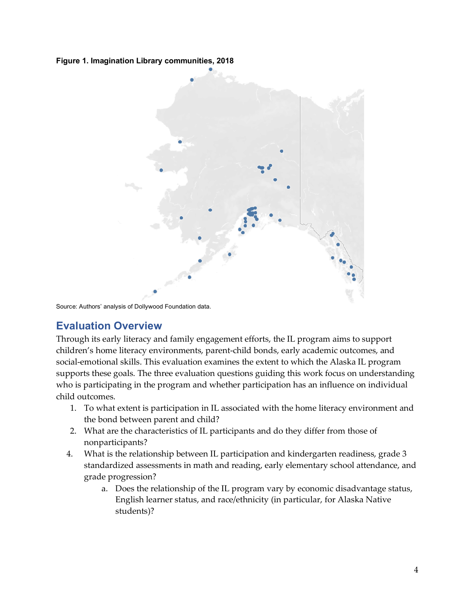**Figure 1. Imagination Library communities, 2018**



Source: Authors' analysis of Dollywood Foundation data.

## **Evaluation Overview**

Through its early literacy and family engagement efforts, the IL program aims to support children's home literacy environments, parent-child bonds, early academic outcomes, and social-emotional skills. This evaluation examines the extent to which the Alaska IL program supports these goals. The three evaluation questions guiding this work focus on understanding who is participating in the program and whether participation has an influence on individual child outcomes.

- 1. To what extent is participation in IL associated with the home literacy environment and the bond between parent and child?
- 2. What are the characteristics of IL participants and do they differ from those of nonparticipants?
- 4. What is the relationship between IL participation and kindergarten readiness, grade 3 standardized assessments in math and reading, early elementary school attendance, and grade progression?
	- a. Does the relationship of the IL program vary by economic disadvantage status, English learner status, and race/ethnicity (in particular, for Alaska Native students)?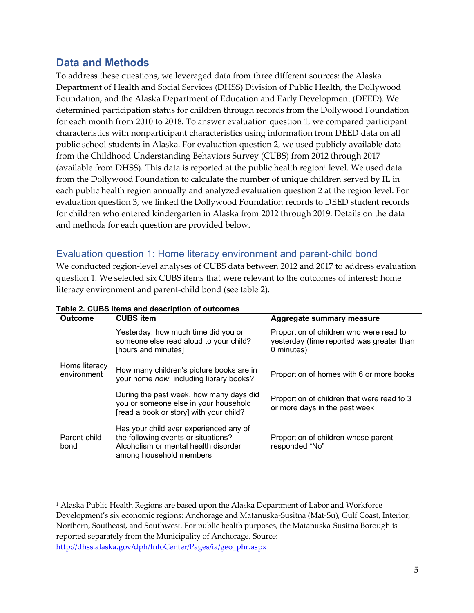### **Data and Methods**

To address these questions, we leveraged data from three different sources: the Alaska Department of Health and Social Services (DHSS) Division of Public Health, the Dollywood Foundation, and the Alaska Department of Education and Early Development (DEED). We determined participation status for children through records from the Dollywood Foundation for each month from 2010 to 2018. To answer evaluation question 1, we compared participant characteristics with nonparticipant characteristics using information from DEED data on all public school students in Alaska. For evaluation question 2, we used publicly available data from the Childhood Understanding Behaviors Survey (CUBS) from 2012 through 2017 (available from DHSS). This data is reported at the public health region<sup>1</sup> level. We used data from the Dollywood Foundation to calculate the number of unique children served by IL in each public health region annually and analyzed evaluation question 2 at the region level. For evaluation question 3, we linked the Dollywood Foundation records to DEED student records for children who entered kindergarten in Alaska from 2012 through 2019. Details on the data and methods for each question are provided below.

### Evaluation question 1: Home literacy environment and parent-child bond

We conducted region-level analyses of CUBS data between 2012 and 2017 to address evaluation question 1. We selected six CUBS items that were relevant to the outcomes of interest: home literacy environment and parent-child bond (see table 2).

| <b>Outcome</b>               | <b>CUBS item</b>                                                                                                                                 | Aggregate summary measure                                                                          |  |
|------------------------------|--------------------------------------------------------------------------------------------------------------------------------------------------|----------------------------------------------------------------------------------------------------|--|
|                              | Yesterday, how much time did you or<br>someone else read aloud to your child?<br>[hours and minutes]                                             | Proportion of children who were read to<br>yesterday (time reported was greater than<br>0 minutes) |  |
| Home literacy<br>environment | How many children's picture books are in<br>your home now, including library books?                                                              | Proportion of homes with 6 or more books                                                           |  |
|                              | During the past week, how many days did<br>you or someone else in your household<br>[read a book or story] with your child?                      | Proportion of children that were read to 3<br>or more days in the past week                        |  |
| Parent-child<br>bond         | Has your child ever experienced any of<br>the following events or situations?<br>Alcoholism or mental health disorder<br>among household members | Proportion of children whose parent<br>responded "No"                                              |  |

#### **Table 2. CUBS items and description of outcomes**

 $\overline{a}$ 

<sup>1</sup> Alaska Public Health Regions are based upon the Alaska Department of Labor and Workforce Development's six economic regions: Anchorage and Matanuska-Susitna (Mat-Su), Gulf Coast, Interior, Northern, Southeast, and Southwest. For public health purposes, the Matanuska-Susitna Borough is reported separately from the Municipality of Anchorage. Source: http://dhss.alaska.gov/dph/InfoCenter/Pages/ia/geo\_phr.aspx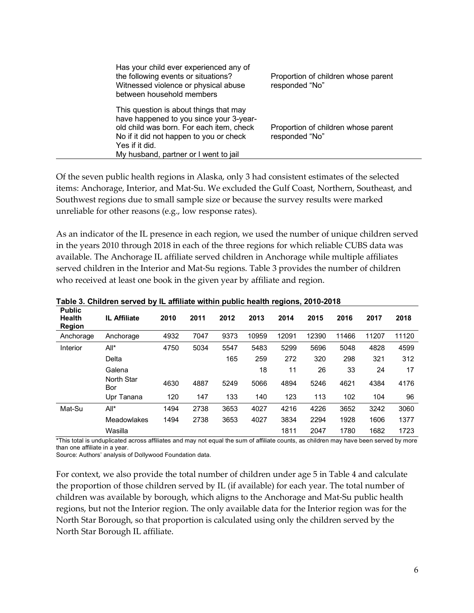| Has your child ever experienced any of<br>the following events or situations?<br>Witnessed violence or physical abuse<br>between household members                                                                                  | Proportion of children whose parent<br>responded "No" |
|-------------------------------------------------------------------------------------------------------------------------------------------------------------------------------------------------------------------------------------|-------------------------------------------------------|
| This question is about things that may<br>have happened to you since your 3-year-<br>old child was born. For each item, check<br>No if it did not happen to you or check<br>Yes if it did.<br>My husband, partner or I went to jail | Proportion of children whose parent<br>responded "No" |

Of the seven public health regions in Alaska, only 3 had consistent estimates of the selected items: Anchorage, Interior, and Mat-Su. We excluded the Gulf Coast, Northern, Southeast, and Southwest regions due to small sample size or because the survey results were marked unreliable for other reasons (e.g., low response rates).

As an indicator of the IL presence in each region, we used the number of unique children served in the years 2010 through 2018 in each of the three regions for which reliable CUBS data was available. The Anchorage IL affiliate served children in Anchorage while multiple affiliates served children in the Interior and Mat-Su regions. Table 3 provides the number of children who received at least one book in the given year by affiliate and region.

| <b>Public</b><br><b>Health</b><br><b>Region</b> | IL Affiliate      | 2010 | 2011 | 2012 | 2013  | 2014  | 2015  | 2016  | 2017  | 2018  |
|-------------------------------------------------|-------------------|------|------|------|-------|-------|-------|-------|-------|-------|
| Anchorage                                       | Anchorage         | 4932 | 7047 | 9373 | 10959 | 12091 | 12390 | 11466 | 11207 | 11120 |
| Interior                                        | All*              | 4750 | 5034 | 5547 | 5483  | 5299  | 5696  | 5048  | 4828  | 4599  |
|                                                 | Delta             |      |      | 165  | 259   | 272   | 320   | 298   | 321   | 312   |
|                                                 | Galena            |      |      |      | 18    | 11    | 26    | 33    | 24    | 17    |
|                                                 | North Star<br>Bor | 4630 | 4887 | 5249 | 5066  | 4894  | 5246  | 4621  | 4384  | 4176  |
|                                                 | Upr Tanana        | 120  | 147  | 133  | 140   | 123   | 113   | 102   | 104   | 96    |
| Mat-Su                                          | $All^*$           | 1494 | 2738 | 3653 | 4027  | 4216  | 4226  | 3652  | 3242  | 3060  |
|                                                 | Meadowlakes       | 1494 | 2738 | 3653 | 4027  | 3834  | 2294  | 1928  | 1606  | 1377  |
|                                                 | Wasilla           |      |      |      |       | 1811  | 2047  | 1780  | 1682  | 1723  |

**Table 3. Children served by IL affiliate within public health regions, 2010-2018**

\*This total is unduplicated across affiliates and may not equal the sum of affiliate counts, as children may have been served by more than one affiliate in a year.

Source: Authors' analysis of Dollywood Foundation data.

For context, we also provide the total number of children under age 5 in Table 4 and calculate the proportion of those children served by IL (if available) for each year. The total number of children was available by borough, which aligns to the Anchorage and Mat-Su public health regions, but not the Interior region. The only available data for the Interior region was for the North Star Borough, so that proportion is calculated using only the children served by the North Star Borough IL affiliate.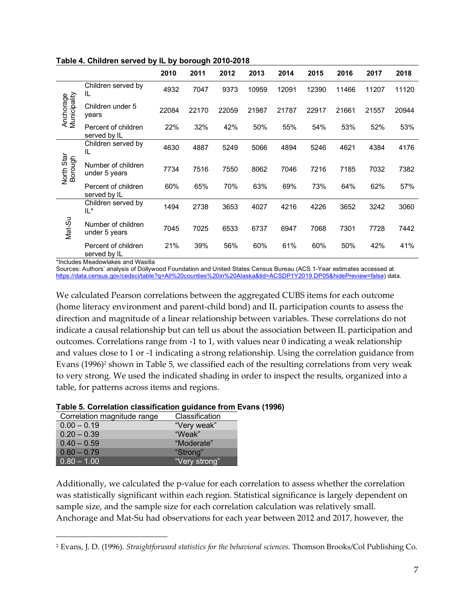|                           |                                     | 2010  | 2011  | 2012  | 2013  | 2014  | 2015  | 2016  | 2017  | 2018  |
|---------------------------|-------------------------------------|-------|-------|-------|-------|-------|-------|-------|-------|-------|
|                           | Children served by<br>IL            | 4932  | 7047  | 9373  | 10959 | 12091 | 12390 | 11466 | 11207 | 11120 |
| Anchorage<br>Municipality | Children under 5<br>years           | 22084 | 22170 | 22059 | 21987 | 21787 | 22917 | 21661 | 21557 | 20944 |
|                           | Percent of children<br>served by IL | 22%   | 32%   | 42%   | 50%   | 55%   | 54%   | 53%   | 52%   | 53%   |
|                           | Children served by<br>IL            | 4630  | 4887  | 5249  | 5066  | 4894  | 5246  | 4621  | 4384  | 4176  |
| North Star<br>Borough     | Number of children<br>under 5 years | 7734  | 7516  | 7550  | 8062  | 7046  | 7216  | 7185  | 7032  | 7382  |
|                           | Percent of children<br>served by IL | 60%   | 65%   | 70%   | 63%   | 69%   | 73%   | 64%   | 62%   | 57%   |
|                           | Children served by<br>IL*           | 1494  | 2738  | 3653  | 4027  | 4216  | 4226  | 3652  | 3242  | 3060  |
| Mat-Su                    | Number of children<br>under 5 years | 7045  | 7025  | 6533  | 6737  | 6947  | 7068  | 7301  | 7728  | 7442  |
|                           | Percent of children<br>served by IL | 21%   | 39%   | 56%   | 60%   | 61%   | 60%   | 50%   | 42%   | 41%   |

**Table 4. Children served by IL by borough 2010-2018**

\*Includes Meadowlakes and Wasilla

<u>.</u>

Sources: Authors' analysis of Dollywood Foundation and United States Census Bureau (ACS 1-Year estimates accessed at https://data.census.gov/cedsci/table?q=All%20counties%20in%20Alaska&tid=ACSDP1Y2019.DP05&hidePreview=false) data.

We calculated Pearson correlations between the aggregated CUBS items for each outcome (home literacy environment and parent-child bond) and IL participation counts to assess the direction and magnitude of a linear relationship between variables. These correlations do not indicate a causal relationship but can tell us about the association between IL participation and outcomes. Correlations range from -1 to 1, with values near 0 indicating a weak relationship and values close to 1 or -1 indicating a strong relationship. Using the correlation guidance from Evans  $(1996)^2$  shown in Table 5, we classified each of the resulting correlations from very weak to very strong. We used the indicated shading in order to inspect the results, organized into a table, for patterns across items and regions.

#### **Table 5. Correlation classification guidance from Evans (1996)**

| Correlation magnitude range | Classification |
|-----------------------------|----------------|
| $0.00 - 0.19$               | "Very weak"    |
| $0.20 - 0.39$               | "Weak"         |
| $0.40 - 0.59$               | "Moderate"     |
| $0.60 - 0.79$               | "Strong"       |
| $0.80 - 1.00$               | "Very strong"  |

Additionally, we calculated the p-value for each correlation to assess whether the correlation was statistically significant within each region. Statistical significance is largely dependent on sample size, and the sample size for each correlation calculation was relatively small. Anchorage and Mat-Su had observations for each year between 2012 and 2017, however, the

<sup>2</sup> Evans, J. D. (1996). *Straightforward statistics for the behavioral sciences.* Thomson Brooks/Col Publishing Co.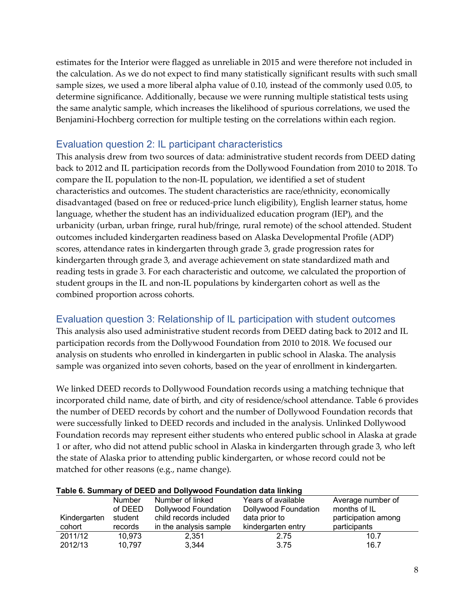estimates for the Interior were flagged as unreliable in 2015 and were therefore not included in the calculation. As we do not expect to find many statistically significant results with such small sample sizes, we used a more liberal alpha value of 0.10, instead of the commonly used 0.05, to determine significance. Additionally, because we were running multiple statistical tests using the same analytic sample, which increases the likelihood of spurious correlations, we used the Benjamini-Hochberg correction for multiple testing on the correlations within each region.

### Evaluation question 2: IL participant characteristics

This analysis drew from two sources of data: administrative student records from DEED dating back to 2012 and IL participation records from the Dollywood Foundation from 2010 to 2018. To compare the IL population to the non-IL population, we identified a set of student characteristics and outcomes. The student characteristics are race/ethnicity, economically disadvantaged (based on free or reduced-price lunch eligibility), English learner status, home language, whether the student has an individualized education program (IEP), and the urbanicity (urban, urban fringe, rural hub/fringe, rural remote) of the school attended. Student outcomes included kindergarten readiness based on Alaska Developmental Profile (ADP) scores, attendance rates in kindergarten through grade 3, grade progression rates for kindergarten through grade 3, and average achievement on state standardized math and reading tests in grade 3. For each characteristic and outcome, we calculated the proportion of student groups in the IL and non-IL populations by kindergarten cohort as well as the combined proportion across cohorts.

#### Evaluation question 3: Relationship of IL participation with student outcomes

This analysis also used administrative student records from DEED dating back to 2012 and IL participation records from the Dollywood Foundation from 2010 to 2018. We focused our analysis on students who enrolled in kindergarten in public school in Alaska. The analysis sample was organized into seven cohorts, based on the year of enrollment in kindergarten.

We linked DEED records to Dollywood Foundation records using a matching technique that incorporated child name, date of birth, and city of residence/school attendance. Table 6 provides the number of DEED records by cohort and the number of Dollywood Foundation records that were successfully linked to DEED records and included in the analysis. Unlinked Dollywood Foundation records may represent either students who entered public school in Alaska at grade 1 or after, who did not attend public school in Alaska in kindergarten through grade 3, who left the state of Alaska prior to attending public kindergarten, or whose record could not be matched for other reasons (e.g., name change).

### **Table 6. Summary of DEED and Dollywood Foundation data linking**

|              | <b>Number</b> | Number of linked       | Years of available   | Average number of   |
|--------------|---------------|------------------------|----------------------|---------------------|
|              | of DEED       | Dollywood Foundation   | Dollywood Foundation | months of IL        |
| Kindergarten | student       | child records included | data prior to        | participation among |
| cohort       | records       | in the analysis sample | kindergarten entry   | participants        |
| 2011/12      | 10.973        | 2,351                  | 2.75                 | 10.7                |
| 2012/13      | 10,797        | 3,344                  | 3.75                 | 16.7                |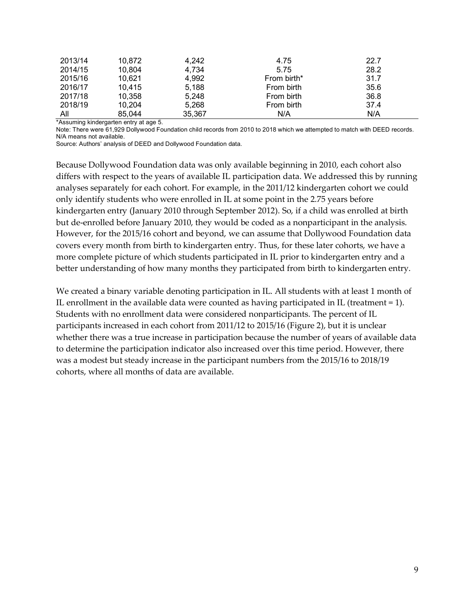| 2013/14 | 10,872 | 4,242  | 4.75        | 22.7 |
|---------|--------|--------|-------------|------|
| 2014/15 | 10,804 | 4,734  | 5.75        | 28.2 |
| 2015/16 | 10,621 | 4,992  | From birth* | 31.7 |
| 2016/17 | 10,415 | 5,188  | From birth  | 35.6 |
| 2017/18 | 10.358 | 5,248  | From birth  | 36.8 |
| 2018/19 | 10,204 | 5,268  | From birth  | 37.4 |
| All     | 85,044 | 35,367 | N/A         | N/A  |

\*Assuming kindergarten entry at age 5.

Note: There were 61,929 Dollywood Foundation child records from 2010 to 2018 which we attempted to match with DEED records. N/A means not available.

Source: Authors' analysis of DEED and Dollywood Foundation data.

Because Dollywood Foundation data was only available beginning in 2010, each cohort also differs with respect to the years of available IL participation data. We addressed this by running analyses separately for each cohort. For example, in the 2011/12 kindergarten cohort we could only identify students who were enrolled in IL at some point in the 2.75 years before kindergarten entry (January 2010 through September 2012). So, if a child was enrolled at birth but de-enrolled before January 2010, they would be coded as a nonparticipant in the analysis. However, for the 2015/16 cohort and beyond, we can assume that Dollywood Foundation data covers every month from birth to kindergarten entry. Thus, for these later cohorts, we have a more complete picture of which students participated in IL prior to kindergarten entry and a better understanding of how many months they participated from birth to kindergarten entry.

We created a binary variable denoting participation in IL. All students with at least 1 month of IL enrollment in the available data were counted as having participated in IL (treatment = 1). Students with no enrollment data were considered nonparticipants. The percent of IL participants increased in each cohort from 2011/12 to 2015/16 (Figure 2), but it is unclear whether there was a true increase in participation because the number of years of available data to determine the participation indicator also increased over this time period. However, there was a modest but steady increase in the participant numbers from the 2015/16 to 2018/19 cohorts, where all months of data are available.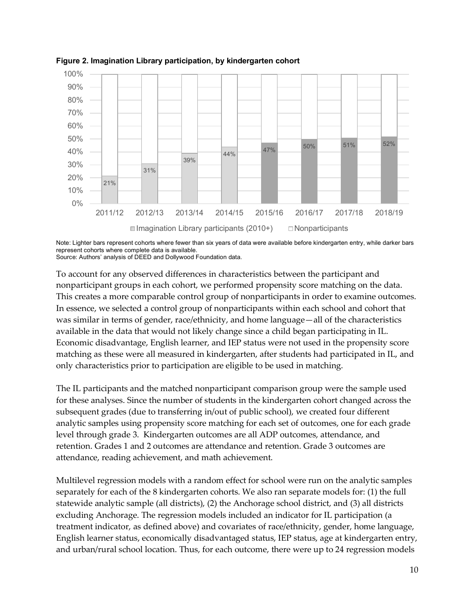

**Figure 2. Imagination Library participation, by kindergarten cohort**

Note: Lighter bars represent cohorts where fewer than six years of data were available before kindergarten entry, while darker bars represent cohorts where complete data is available.

Source: Authors' analysis of DEED and Dollywood Foundation data.

To account for any observed differences in characteristics between the participant and nonparticipant groups in each cohort, we performed propensity score matching on the data. This creates a more comparable control group of nonparticipants in order to examine outcomes. In essence, we selected a control group of nonparticipants within each school and cohort that was similar in terms of gender, race/ethnicity, and home language—all of the characteristics available in the data that would not likely change since a child began participating in IL. Economic disadvantage, English learner, and IEP status were not used in the propensity score matching as these were all measured in kindergarten, after students had participated in IL, and only characteristics prior to participation are eligible to be used in matching.

The IL participants and the matched nonparticipant comparison group were the sample used for these analyses. Since the number of students in the kindergarten cohort changed across the subsequent grades (due to transferring in/out of public school), we created four different analytic samples using propensity score matching for each set of outcomes, one for each grade level through grade 3. Kindergarten outcomes are all ADP outcomes, attendance, and retention. Grades 1 and 2 outcomes are attendance and retention. Grade 3 outcomes are attendance, reading achievement, and math achievement.

Multilevel regression models with a random effect for school were run on the analytic samples separately for each of the 8 kindergarten cohorts. We also ran separate models for: (1) the full statewide analytic sample (all districts), (2) the Anchorage school district, and (3) all districts excluding Anchorage. The regression models included an indicator for IL participation (a treatment indicator, as defined above) and covariates of race/ethnicity, gender, home language, English learner status, economically disadvantaged status, IEP status, age at kindergarten entry, and urban/rural school location. Thus, for each outcome, there were up to 24 regression models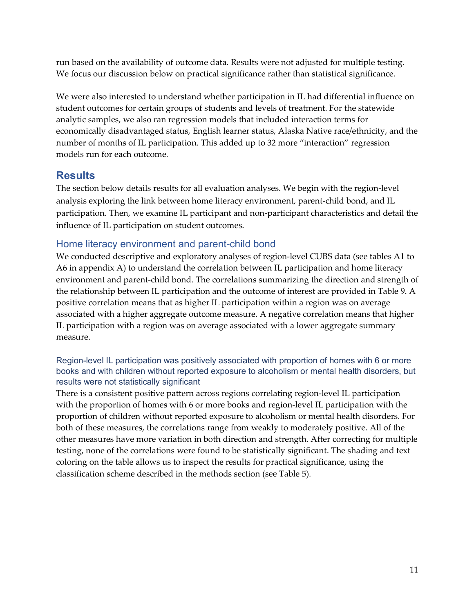run based on the availability of outcome data. Results were not adjusted for multiple testing. We focus our discussion below on practical significance rather than statistical significance.

We were also interested to understand whether participation in IL had differential influence on student outcomes for certain groups of students and levels of treatment. For the statewide analytic samples, we also ran regression models that included interaction terms for economically disadvantaged status, English learner status, Alaska Native race/ethnicity, and the number of months of IL participation. This added up to 32 more "interaction" regression models run for each outcome.

## **Results**

The section below details results for all evaluation analyses. We begin with the region-level analysis exploring the link between home literacy environment, parent-child bond, and IL participation. Then, we examine IL participant and non-participant characteristics and detail the influence of IL participation on student outcomes.

### Home literacy environment and parent-child bond

We conducted descriptive and exploratory analyses of region-level CUBS data (see tables A1 to A6 in appendix A) to understand the correlation between IL participation and home literacy environment and parent-child bond. The correlations summarizing the direction and strength of the relationship between IL participation and the outcome of interest are provided in Table 9. A positive correlation means that as higher IL participation within a region was on average associated with a higher aggregate outcome measure. A negative correlation means that higher IL participation with a region was on average associated with a lower aggregate summary measure.

#### Region-level IL participation was positively associated with proportion of homes with 6 or more books and with children without reported exposure to alcoholism or mental health disorders, but results were not statistically significant

There is a consistent positive pattern across regions correlating region-level IL participation with the proportion of homes with 6 or more books and region-level IL participation with the proportion of children without reported exposure to alcoholism or mental health disorders. For both of these measures, the correlations range from weakly to moderately positive. All of the other measures have more variation in both direction and strength. After correcting for multiple testing, none of the correlations were found to be statistically significant. The shading and text coloring on the table allows us to inspect the results for practical significance, using the classification scheme described in the methods section (see Table 5).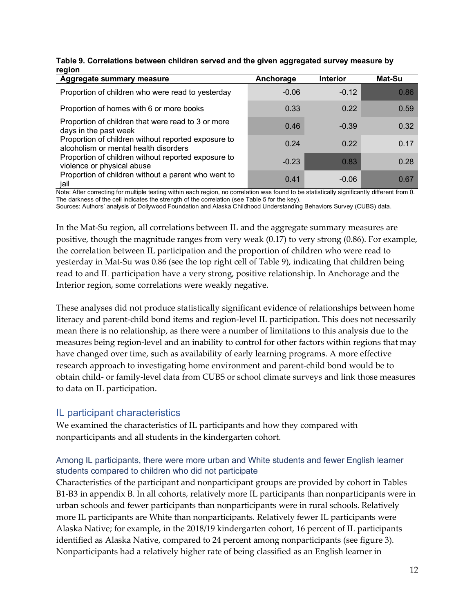|        | Table 9. Correlations between children served and the given aggregated survey measure by |
|--------|------------------------------------------------------------------------------------------|
| region |                                                                                          |

| Aggregate summary measure                                                                    | Anchorage | <b>Interior</b> | Mat-Su |
|----------------------------------------------------------------------------------------------|-----------|-----------------|--------|
| Proportion of children who were read to yesterday                                            | $-0.06$   | $-0.12$         | 0.86   |
| Proportion of homes with 6 or more books                                                     | 0.33      | 0.22            | 0.59   |
| Proportion of children that were read to 3 or more<br>days in the past week                  | 0.46      | $-0.39$         | 0.32   |
| Proportion of children without reported exposure to<br>alcoholism or mental health disorders | 0.24      | 0.22            | 0.17   |
| Proportion of children without reported exposure to<br>violence or physical abuse            | $-0.23$   | 0.83            | 0.28   |
| Proportion of children without a parent who went to<br>jail                                  | 0.41      | $-0.06$         | 0.67   |

Note: After correcting for multiple testing within each region, no correlation was found to be statistically significantly different from 0. The darkness of the cell indicates the strength of the correlation (see Table 5 for the key).

Sources: Authors' analysis of Dollywood Foundation and Alaska Childhood Understanding Behaviors Survey (CUBS) data.

In the Mat-Su region, all correlations between IL and the aggregate summary measures are positive, though the magnitude ranges from very weak (0.17) to very strong (0.86). For example, the correlation between IL participation and the proportion of children who were read to yesterday in Mat-Su was 0.86 (see the top right cell of Table 9), indicating that children being read to and IL participation have a very strong, positive relationship. In Anchorage and the Interior region, some correlations were weakly negative.

These analyses did not produce statistically significant evidence of relationships between home literacy and parent-child bond items and region-level IL participation. This does not necessarily mean there is no relationship, as there were a number of limitations to this analysis due to the measures being region-level and an inability to control for other factors within regions that may have changed over time, such as availability of early learning programs. A more effective research approach to investigating home environment and parent-child bond would be to obtain child- or family-level data from CUBS or school climate surveys and link those measures to data on IL participation.

### IL participant characteristics

We examined the characteristics of IL participants and how they compared with nonparticipants and all students in the kindergarten cohort.

#### Among IL participants, there were more urban and White students and fewer English learner students compared to children who did not participate

Characteristics of the participant and nonparticipant groups are provided by cohort in Tables B1-B3 in appendix B. In all cohorts, relatively more IL participants than nonparticipants were in urban schools and fewer participants than nonparticipants were in rural schools. Relatively more IL participants are White than nonparticipants. Relatively fewer IL participants were Alaska Native; for example, in the 2018/19 kindergarten cohort, 16 percent of IL participants identified as Alaska Native, compared to 24 percent among nonparticipants (see figure 3). Nonparticipants had a relatively higher rate of being classified as an English learner in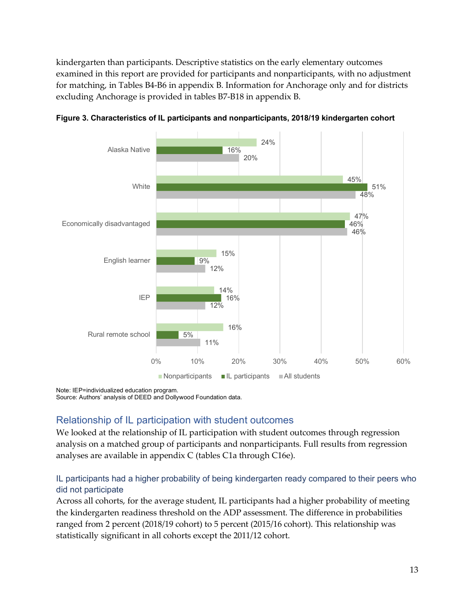kindergarten than participants. Descriptive statistics on the early elementary outcomes examined in this report are provided for participants and nonparticipants, with no adjustment for matching, in Tables B4-B6 in appendix B. Information for Anchorage only and for districts excluding Anchorage is provided in tables B7-B18 in appendix B.



**Figure 3. Characteristics of IL participants and nonparticipants, 2018/19 kindergarten cohort**

Note: IEP=individualized education program.

Source: Authors' analysis of DEED and Dollywood Foundation data.

### Relationship of IL participation with student outcomes

We looked at the relationship of IL participation with student outcomes through regression analysis on a matched group of participants and nonparticipants. Full results from regression analyses are available in appendix C (tables C1a through C16e).

#### IL participants had a higher probability of being kindergarten ready compared to their peers who did not participate

Across all cohorts, for the average student, IL participants had a higher probability of meeting the kindergarten readiness threshold on the ADP assessment. The difference in probabilities ranged from 2 percent (2018/19 cohort) to 5 percent (2015/16 cohort). This relationship was statistically significant in all cohorts except the 2011/12 cohort.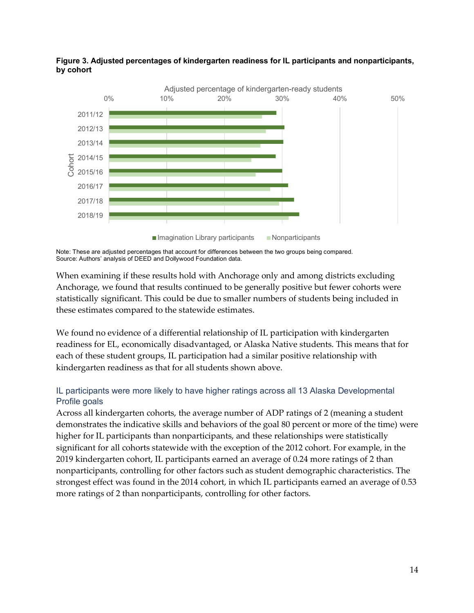

**Figure 3. Adjusted percentages of kindergarten readiness for IL participants and nonparticipants, by cohort**

When examining if these results hold with Anchorage only and among districts excluding Anchorage, we found that results continued to be generally positive but fewer cohorts were statistically significant. This could be due to smaller numbers of students being included in these estimates compared to the statewide estimates.

We found no evidence of a differential relationship of IL participation with kindergarten readiness for EL, economically disadvantaged, or Alaska Native students. This means that for each of these student groups, IL participation had a similar positive relationship with kindergarten readiness as that for all students shown above.

#### IL participants were more likely to have higher ratings across all 13 Alaska Developmental Profile goals

Across all kindergarten cohorts, the average number of ADP ratings of 2 (meaning a student demonstrates the indicative skills and behaviors of the goal 80 percent or more of the time) were higher for IL participants than nonparticipants, and these relationships were statistically significant for all cohorts statewide with the exception of the 2012 cohort. For example, in the 2019 kindergarten cohort, IL participants earned an average of 0.24 more ratings of 2 than nonparticipants, controlling for other factors such as student demographic characteristics. The strongest effect was found in the 2014 cohort, in which IL participants earned an average of 0.53 more ratings of 2 than nonparticipants, controlling for other factors.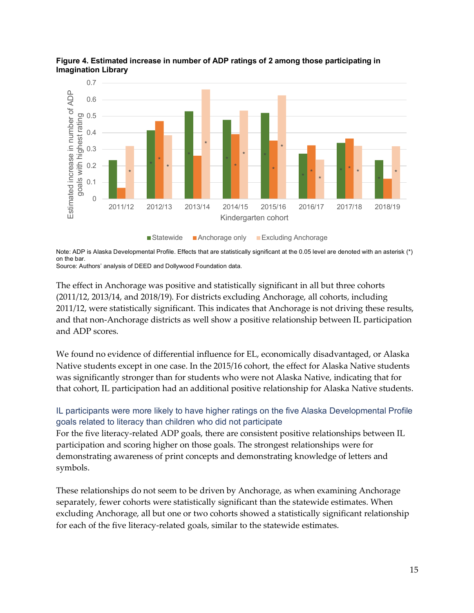

**Figure 4. Estimated increase in number of ADP ratings of 2 among those participating in Imagination Library**

Note: ADP is Alaska Developmental Profile. Effects that are statistically significant at the 0.05 level are denoted with an asterisk (\*) on the bar.

Source: Authors' analysis of DEED and Dollywood Foundation data.

The effect in Anchorage was positive and statistically significant in all but three cohorts (2011/12, 2013/14, and 2018/19). For districts excluding Anchorage, all cohorts, including 2011/12, were statistically significant. This indicates that Anchorage is not driving these results, and that non-Anchorage districts as well show a positive relationship between IL participation and ADP scores.

We found no evidence of differential influence for EL, economically disadvantaged, or Alaska Native students except in one case. In the 2015/16 cohort, the effect for Alaska Native students was significantly stronger than for students who were not Alaska Native, indicating that for that cohort, IL participation had an additional positive relationship for Alaska Native students.

### IL participants were more likely to have higher ratings on the five Alaska Developmental Profile goals related to literacy than children who did not participate

For the five literacy-related ADP goals, there are consistent positive relationships between IL participation and scoring higher on those goals. The strongest relationships were for demonstrating awareness of print concepts and demonstrating knowledge of letters and symbols.

These relationships do not seem to be driven by Anchorage, as when examining Anchorage separately, fewer cohorts were statistically significant than the statewide estimates. When excluding Anchorage, all but one or two cohorts showed a statistically significant relationship for each of the five literacy-related goals, similar to the statewide estimates.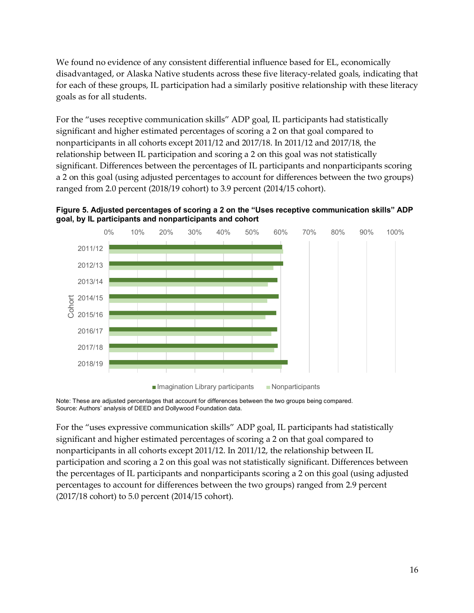We found no evidence of any consistent differential influence based for EL, economically disadvantaged, or Alaska Native students across these five literacy-related goals, indicating that for each of these groups, IL participation had a similarly positive relationship with these literacy goals as for all students.

For the "uses receptive communication skills" ADP goal, IL participants had statistically significant and higher estimated percentages of scoring a 2 on that goal compared to nonparticipants in all cohorts except 2011/12 and 2017/18. In 2011/12 and 2017/18, the relationship between IL participation and scoring a 2 on this goal was not statistically significant. Differences between the percentages of IL participants and nonparticipants scoring a 2 on this goal (using adjusted percentages to account for differences between the two groups) ranged from 2.0 percent (2018/19 cohort) to 3.9 percent (2014/15 cohort).





Note: These are adjusted percentages that account for differences between the two groups being compared. Source: Authors' analysis of DEED and Dollywood Foundation data.

For the "uses expressive communication skills" ADP goal, IL participants had statistically significant and higher estimated percentages of scoring a 2 on that goal compared to nonparticipants in all cohorts except 2011/12. In 2011/12, the relationship between IL participation and scoring a 2 on this goal was not statistically significant. Differences between the percentages of IL participants and nonparticipants scoring a 2 on this goal (using adjusted percentages to account for differences between the two groups) ranged from 2.9 percent (2017/18 cohort) to 5.0 percent (2014/15 cohort).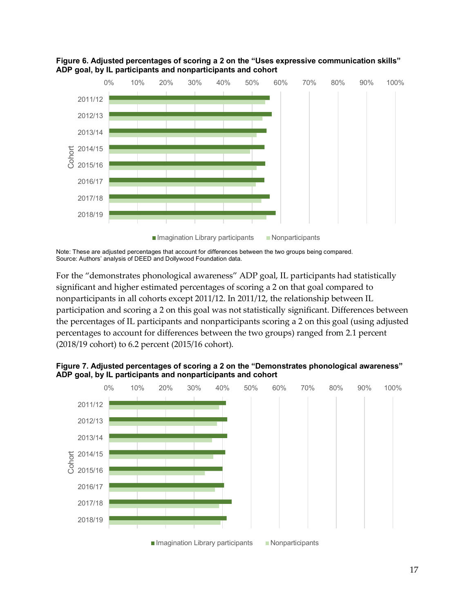



For the "demonstrates phonological awareness" ADP goal, IL participants had statistically significant and higher estimated percentages of scoring a 2 on that goal compared to nonparticipants in all cohorts except 2011/12. In 2011/12, the relationship between IL participation and scoring a 2 on this goal was not statistically significant. Differences between the percentages of IL participants and nonparticipants scoring a 2 on this goal (using adjusted percentages to account for differences between the two groups) ranged from 2.1 percent (2018/19 cohort) to 6.2 percent (2015/16 cohort).



**Figure 7. Adjusted percentages of scoring a 2 on the "Demonstrates phonological awareness" ADP goal, by IL participants and nonparticipants and cohort**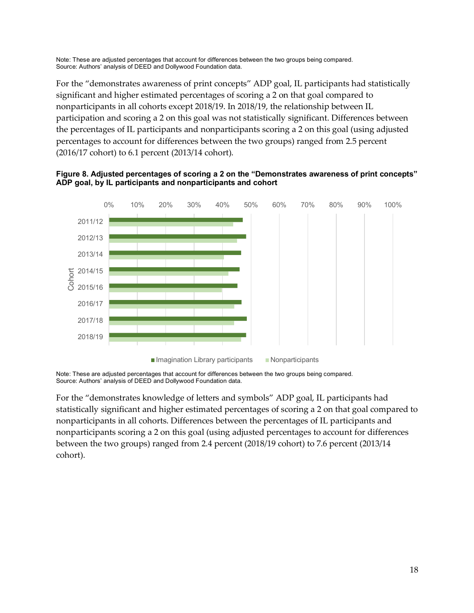For the "demonstrates awareness of print concepts" ADP goal, IL participants had statistically significant and higher estimated percentages of scoring a 2 on that goal compared to nonparticipants in all cohorts except 2018/19. In 2018/19, the relationship between IL participation and scoring a 2 on this goal was not statistically significant. Differences between the percentages of IL participants and nonparticipants scoring a 2 on this goal (using adjusted percentages to account for differences between the two groups) ranged from 2.5 percent (2016/17 cohort) to 6.1 percent (2013/14 cohort).





Note: These are adjusted percentages that account for differences between the two groups being compared. Source: Authors' analysis of DEED and Dollywood Foundation data.

For the "demonstrates knowledge of letters and symbols" ADP goal, IL participants had statistically significant and higher estimated percentages of scoring a 2 on that goal compared to nonparticipants in all cohorts. Differences between the percentages of IL participants and nonparticipants scoring a 2 on this goal (using adjusted percentages to account for differences between the two groups) ranged from 2.4 percent (2018/19 cohort) to 7.6 percent (2013/14 cohort).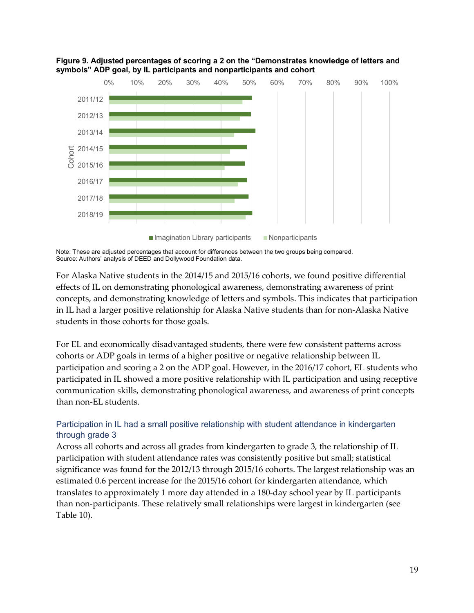

**Figure 9. Adjusted percentages of scoring a 2 on the "Demonstrates knowledge of letters and symbols" ADP goal, by IL participants and nonparticipants and cohort**

For Alaska Native students in the 2014/15 and 2015/16 cohorts, we found positive differential effects of IL on demonstrating phonological awareness, demonstrating awareness of print concepts, and demonstrating knowledge of letters and symbols. This indicates that participation in IL had a larger positive relationship for Alaska Native students than for non-Alaska Native students in those cohorts for those goals.

For EL and economically disadvantaged students, there were few consistent patterns across cohorts or ADP goals in terms of a higher positive or negative relationship between IL participation and scoring a 2 on the ADP goal. However, in the 2016/17 cohort, EL students who participated in IL showed a more positive relationship with IL participation and using receptive communication skills, demonstrating phonological awareness, and awareness of print concepts than non-EL students.

### Participation in IL had a small positive relationship with student attendance in kindergarten through grade 3

Across all cohorts and across all grades from kindergarten to grade 3, the relationship of IL participation with student attendance rates was consistently positive but small; statistical significance was found for the 2012/13 through 2015/16 cohorts. The largest relationship was an estimated 0.6 percent increase for the 2015/16 cohort for kindergarten attendance, which translates to approximately 1 more day attended in a 180-day school year by IL participants than non-participants. These relatively small relationships were largest in kindergarten (see Table 10).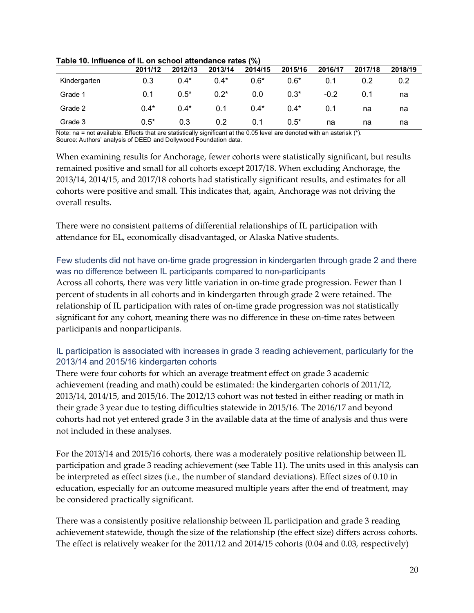|              | 2011/12 | 2012/13 | 2013/14 | 2014/15 | 2015/16 | 2016/17 | 2017/18 | 2018/19 |
|--------------|---------|---------|---------|---------|---------|---------|---------|---------|
| Kindergarten | 0.3     | $0.4*$  | $0.4*$  | $0.6*$  | $0.6*$  | 0.1     | 0.2     | 0.2     |
| Grade 1      | 0.1     | $0.5*$  | $0.2*$  | 0.0     | $0.3*$  | $-0.2$  | 0.1     | na      |
| Grade 2      | $0.4*$  | $0.4*$  | 0.1     | $0.4*$  | $0.4*$  | 0.1     | na      | na      |
| Grade 3      | $0.5*$  | 0.3     | 0.2     | 0.1     | $0.5*$  | na      | na      | na      |

**Table 10. Influence of IL on school attendance rates (%)**

Note: na = not available. Effects that are statistically significant at the 0.05 level are denoted with an asterisk (\*). Source: Authors' analysis of DEED and Dollywood Foundation data.

When examining results for Anchorage, fewer cohorts were statistically significant, but results remained positive and small for all cohorts except 2017/18. When excluding Anchorage, the 2013/14, 2014/15, and 2017/18 cohorts had statistically significant results, and estimates for all cohorts were positive and small. This indicates that, again, Anchorage was not driving the overall results.

There were no consistent patterns of differential relationships of IL participation with attendance for EL, economically disadvantaged, or Alaska Native students.

#### Few students did not have on-time grade progression in kindergarten through grade 2 and there was no difference between IL participants compared to non-participants

Across all cohorts, there was very little variation in on-time grade progression. Fewer than 1 percent of students in all cohorts and in kindergarten through grade 2 were retained. The relationship of IL participation with rates of on-time grade progression was not statistically significant for any cohort, meaning there was no difference in these on-time rates between participants and nonparticipants.

### IL participation is associated with increases in grade 3 reading achievement, particularly for the 2013/14 and 2015/16 kindergarten cohorts

There were four cohorts for which an average treatment effect on grade 3 academic achievement (reading and math) could be estimated: the kindergarten cohorts of 2011/12, 2013/14, 2014/15, and 2015/16. The 2012/13 cohort was not tested in either reading or math in their grade 3 year due to testing difficulties statewide in 2015/16. The 2016/17 and beyond cohorts had not yet entered grade 3 in the available data at the time of analysis and thus were not included in these analyses.

For the 2013/14 and 2015/16 cohorts, there was a moderately positive relationship between IL participation and grade 3 reading achievement (see Table 11). The units used in this analysis can be interpreted as effect sizes (i.e., the number of standard deviations). Effect sizes of 0.10 in education, especially for an outcome measured multiple years after the end of treatment, may be considered practically significant.

There was a consistently positive relationship between IL participation and grade 3 reading achievement statewide, though the size of the relationship (the effect size) differs across cohorts. The effect is relatively weaker for the 2011/12 and 2014/15 cohorts (0.04 and 0.03, respectively)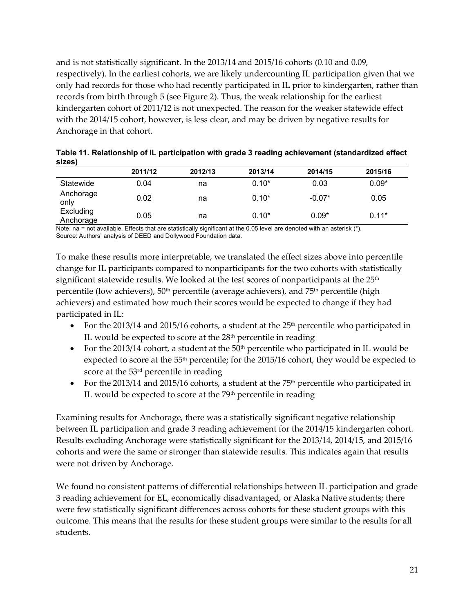and is not statistically significant. In the 2013/14 and 2015/16 cohorts (0.10 and 0.09, respectively). In the earliest cohorts, we are likely undercounting IL participation given that we only had records for those who had recently participated in IL prior to kindergarten, rather than records from birth through 5 (see Figure 2). Thus, the weak relationship for the earliest kindergarten cohort of 2011/12 is not unexpected. The reason for the weaker statewide effect with the 2014/15 cohort, however, is less clear, and may be driven by negative results for Anchorage in that cohort.

|                        | 2011/12 | 2012/13 | 2013/14 | 2014/15  | 2015/16 |
|------------------------|---------|---------|---------|----------|---------|
| Statewide              | 0.04    | na      | $0.10*$ | 0.03     | $0.09*$ |
| Anchorage<br>only      | 0.02    | na      | $0.10*$ | $-0.07*$ | 0.05    |
| Excluding<br>Anchorage | 0.05    | na      | $0.10*$ | $0.09*$  | $0.11*$ |

|        |  |  | Table 11. Relationship of IL participation with grade 3 reading achievement (standardized effect |
|--------|--|--|--------------------------------------------------------------------------------------------------|
| sizes) |  |  |                                                                                                  |

Note: na = not available. Effects that are statistically significant at the 0.05 level are denoted with an asterisk (\*). Source: Authors' analysis of DEED and Dollywood Foundation data.

To make these results more interpretable, we translated the effect sizes above into percentile change for IL participants compared to nonparticipants for the two cohorts with statistically significant statewide results. We looked at the test scores of nonparticipants at the  $25<sup>th</sup>$ percentile (low achievers),  $50<sup>th</sup>$  percentile (average achievers), and  $75<sup>th</sup>$  percentile (high achievers) and estimated how much their scores would be expected to change if they had participated in IL:

- For the 2013/14 and 2015/16 cohorts, a student at the  $25<sup>th</sup>$  percentile who participated in IL would be expected to score at the  $28<sup>th</sup>$  percentile in reading
- For the 2013/14 cohort, a student at the  $50<sup>th</sup>$  percentile who participated in IL would be expected to score at the 55th percentile; for the 2015/16 cohort, they would be expected to score at the 53<sup>rd</sup> percentile in reading
- For the 2013/14 and 2015/16 cohorts, a student at the  $75<sup>th</sup>$  percentile who participated in IL would be expected to score at the 79<sup>th</sup> percentile in reading

Examining results for Anchorage, there was a statistically significant negative relationship between IL participation and grade 3 reading achievement for the 2014/15 kindergarten cohort. Results excluding Anchorage were statistically significant for the 2013/14, 2014/15, and 2015/16 cohorts and were the same or stronger than statewide results. This indicates again that results were not driven by Anchorage.

We found no consistent patterns of differential relationships between IL participation and grade 3 reading achievement for EL, economically disadvantaged, or Alaska Native students; there were few statistically significant differences across cohorts for these student groups with this outcome. This means that the results for these student groups were similar to the results for all students.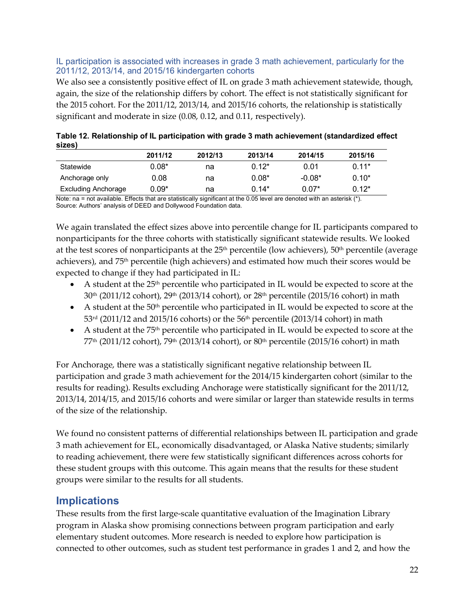#### IL participation is associated with increases in grade 3 math achievement, particularly for the 2011/12, 2013/14, and 2015/16 kindergarten cohorts

We also see a consistently positive effect of IL on grade 3 math achievement statewide, though, again, the size of the relationship differs by cohort. The effect is not statistically significant for the 2015 cohort. For the 2011/12, 2013/14, and 2015/16 cohorts, the relationship is statistically significant and moderate in size (0.08, 0.12, and 0.11, respectively).

| 314691              |          |         |         |            |          |  |  |  |
|---------------------|----------|---------|---------|------------|----------|--|--|--|
|                     | 2011/12  | 2012/13 | 2013/14 | 2014/15    | 2015/16  |  |  |  |
| Statewide           | $0.08^*$ | na      | $0.12*$ | 0.01       | $0.11*$  |  |  |  |
| Anchorage only      | 0.08     | na      | $0.08*$ | $-0.08*$   | $0.10*$  |  |  |  |
| Excluding Anchorage | 0.09*    | na      | $0.14*$ | $0.07^{*}$ | $0.12^*$ |  |  |  |

**Table 12. Relationship of IL participation with grade 3 math achievement (standardized effect sizes)**

Note: na = not available. Effects that are statistically significant at the 0.05 level are denoted with an asterisk (\*). Source: Authors' analysis of DEED and Dollywood Foundation data.

We again translated the effect sizes above into percentile change for IL participants compared to nonparticipants for the three cohorts with statistically significant statewide results. We looked at the test scores of nonparticipants at the  $25<sup>th</sup>$  percentile (low achievers),  $50<sup>th</sup>$  percentile (average achievers), and 75th percentile (high achievers) and estimated how much their scores would be expected to change if they had participated in IL:

- A student at the 25<sup>th</sup> percentile who participated in IL would be expected to score at the  $30^{th}$  (2011/12 cohort),  $29^{th}$  (2013/14 cohort), or  $28^{th}$  percentile (2015/16 cohort) in math
- A student at the  $50<sup>th</sup>$  percentile who participated in IL would be expected to score at the  $53<sup>rd</sup>$  (2011/12 and 2015/16 cohorts) or the  $56<sup>th</sup>$  percentile (2013/14 cohort) in math
- A student at the  $75<sup>th</sup>$  percentile who participated in IL would be expected to score at the  $77<sup>th</sup>$  (2011/12 cohort),  $79<sup>th</sup>$  (2013/14 cohort), or  $80<sup>th</sup>$  percentile (2015/16 cohort) in math

For Anchorage, there was a statistically significant negative relationship between IL participation and grade 3 math achievement for the 2014/15 kindergarten cohort (similar to the results for reading). Results excluding Anchorage were statistically significant for the 2011/12, 2013/14, 2014/15, and 2015/16 cohorts and were similar or larger than statewide results in terms of the size of the relationship.

We found no consistent patterns of differential relationships between IL participation and grade 3 math achievement for EL, economically disadvantaged, or Alaska Native students; similarly to reading achievement, there were few statistically significant differences across cohorts for these student groups with this outcome. This again means that the results for these student groups were similar to the results for all students.

## **Implications**

These results from the first large-scale quantitative evaluation of the Imagination Library program in Alaska show promising connections between program participation and early elementary student outcomes. More research is needed to explore how participation is connected to other outcomes, such as student test performance in grades 1 and 2, and how the